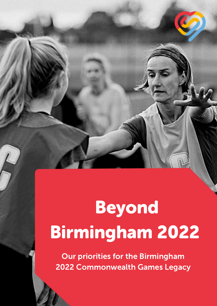# Beyond Birmingham 2022

Our priorities for the Birmingham 2022 Commonwealth Games Legacy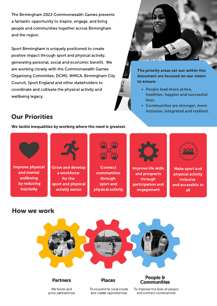The Birmingham 2022 Commonwealth Games presents a fantastic opportunity to inspire, engage, and bring people and communities together across Birmingham and the region.

Sport Birmingham is uniquely positioned to create positive impact through sport and physical activity, generating personal, social and economic benefit. We are working closely with the Commonwealth Games Organising Committee, DCMS, WMCA, Birmingham City Council, Sport England and other stakeholders to coordinate and cultivate the physical activity and wellbeing legacy.



The priority areas set out within this document are focused on our vision to ensure:

- People lead more active, healthier, happier and successful lives
- Communities are stronger, more inclusive, integrated and resilient.

# Our Priorities

We tackle inequalities by working where the need is greatest.





Grow and develop a workforce for the sport and physical activity sector



**Connect** communities through sport and physical activity



Improve life skills and prospects through participation and engagement



Make sport and physical activity inclusive and accessible to all

# How we work



## **Partners**

We foster and grow partnerships

## **Places**

### People & **Communities**

To respond to local needs and create opportunities

To improve the lives of people and connect communities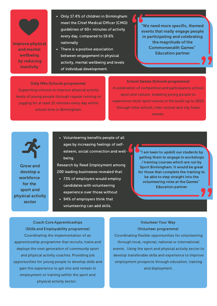Improve physical and mental wellbeing by reducing inactivity

- Only 17.4% of children in Birmingham meet the Chief Medical Officer (CMO) guidelines of 60+ minutes of activity every day, compared to 19.6% nationally
- There is a positive association between engagement in physical activity, mental wellbeing and levels of individual development.

"We need more specific, themed events that really engage people in participating and celebrating the magnitude of the Commonwealth Games" Education partner

Daily Mile (Schools programme) Supporting schools to improve physical activity levels of young people through regular running or jogging for at least 15 minutes every day within school time in Birmingham.

School Games (Schools programme) A celebration of competitive and participatory school sport and culture, enabling young people to experience multi-sport events in the build-up to 2022 through intra-school, inter-school and city finals events.



Grow and develop a workforce for the sport and physical activity sector

Volunteering benefits people of all ages by increasing feelings of selfesteem, social connection and wellbeing.

Research by Reed Employment among 200 leading businesses revealed that:

- 73% of employers would employ candidates with volunteering experience over those without
- 94% of employers think that volunteering can add skills.

<sup>'</sup>"I am keen to upskill our students by getting them to engage in workshops / training courses which are run by Sport Birmingham. It would be great for those that complete the training to be able to step straight into the volunteering roles at the Games" Education partner

Coach Core Apprenticeships (Skills and Employability programme) Coordinating the implementation of an apprenticeship programme that recruits, trains and deploys the next generation of community sport and physical activity coaches. Providing job opportunities for young people to develop skills and gain the experience to get into and remain in employment or training within the sport and physical activity sector.

#### Volunteer Your Way (Volunteer programme)

Coordinating flexible opportunities for volunteering through local, regional, national or international events. Using the sport and physical activity sector to develop transferable skills and experience to improve employment prospects through education, training and deployment.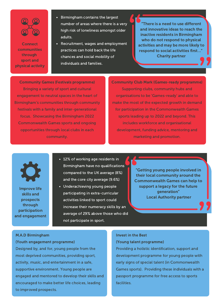

**Improve Connect** communities through sport and physical activity

- Birmingham contains the largest number of areas where there is a very high risk of loneliness amongst older adults.
- Recruitment, wages and employment practices can hold back the life chances and social mobility of individuals and families.

There is a need to use different and innovative ideas to reach the inactive residents in Birmingham who do not respond to physical activities and may be more likely to respond to social activities first…" Charity partner

Community Games (Festivals programme) Bringing a variety of sport and cultural engagement to neutral spaces in the heart of Birmingham's communities through community festivals with a family and inter-generational focus. Showcasing the Birmingham 2022 Commonwealth Games sports and ongoing opportunities through local clubs in each community.

Community Club Mark (Games-ready programme) Supporting clubs, community hubs and organisations to be 'Games-ready' and able to make the most of the expected growth in demand for participation in the Commonwealth Games sports leading up to 2022 and beyond. This includes workforce and organisational development, funding advice, mentoring and marketing and promotion.



Improve life skills and prospects through participation and engagement

- 12% of working age residents in Birmingham have no qualifications compared to the UK average (8%) and the core city average (9.6%)
- Underachieving young people participating in extra-curricular activities linked to sport could increase their numeracy skills by an average of 29% above those who did not participate in sport.

"Getting young people involved in their local community around the Commonwealth Games can help to support a legacy for the future generation" Local Authority partner

#### M.A.D Birmingham

#### (Youth engagement programme)

Designed by, and for, young people from the most deprived communities, providing sport, activity, music, and entertainment in a safe, supportive environment. Young people are engaged and mentored to develop their skills and encouraged to make better life choices, leading to improved prospects.

## Invest in the Best (Young talent programme)

Providing a holistic identification, support and development programme for young people with early signs of special talent (in Commonwealth Games sports). Providing these individuals with a passport programme for free access to sports facilities.